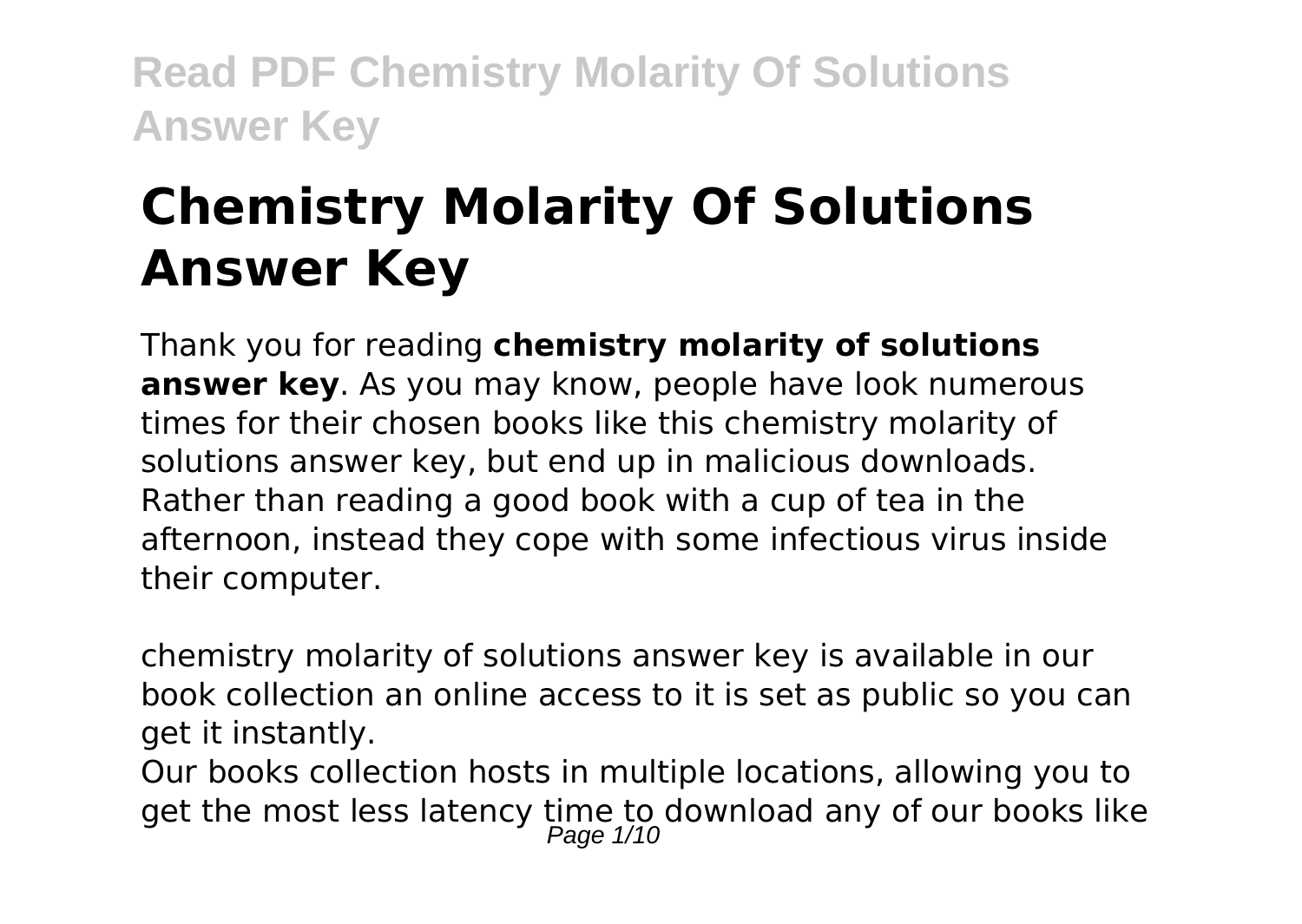# **Chemistry Molarity Of Solutions Answer Key**

Thank you for reading **chemistry molarity of solutions answer key**. As you may know, people have look numerous times for their chosen books like this chemistry molarity of solutions answer key, but end up in malicious downloads. Rather than reading a good book with a cup of tea in the afternoon, instead they cope with some infectious virus inside their computer.

chemistry molarity of solutions answer key is available in our book collection an online access to it is set as public so you can get it instantly.

Our books collection hosts in multiple locations, allowing you to get the most less latency time to download any of our books like<br>Page 1/10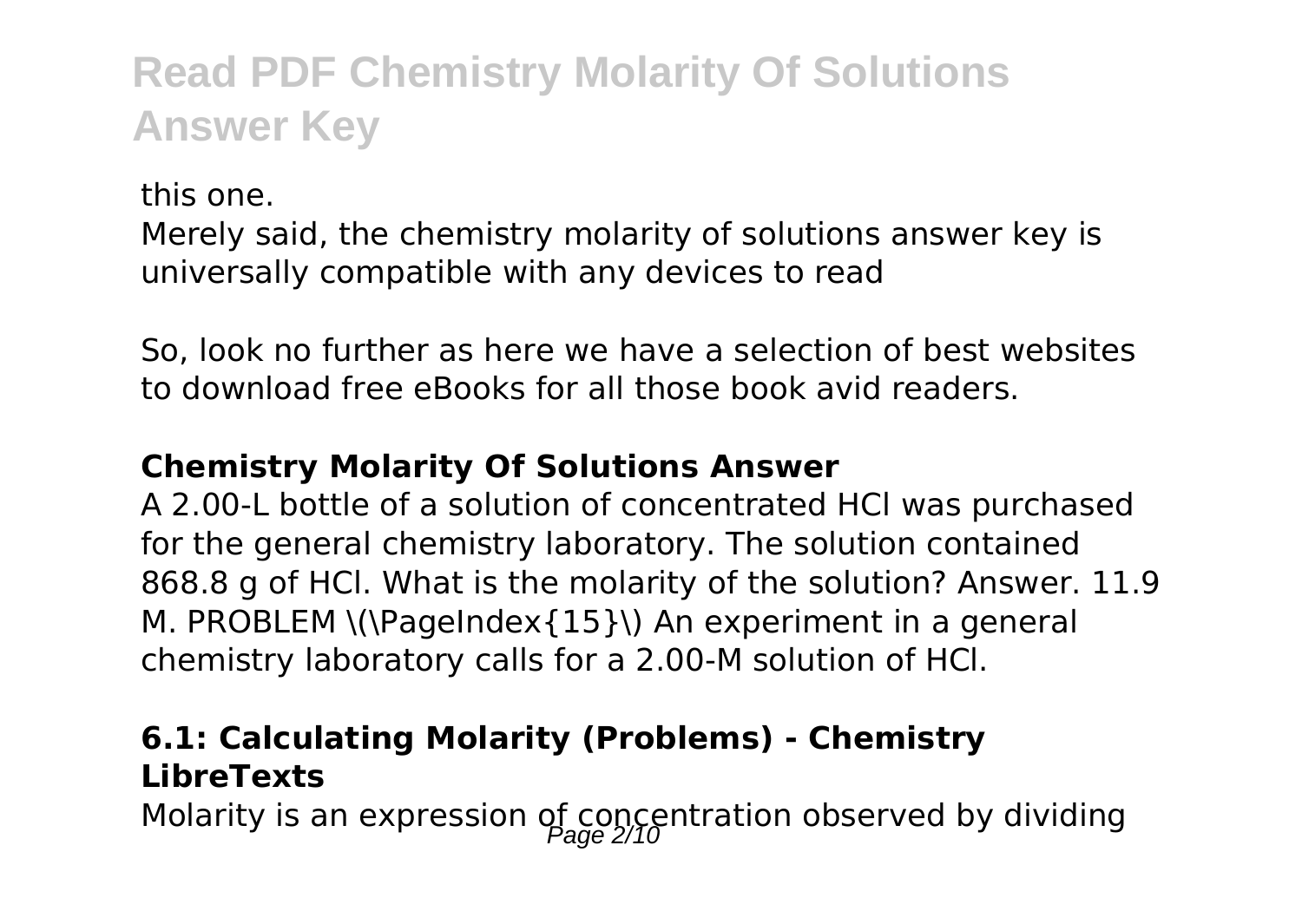this one. Merely said, the chemistry molarity of solutions answer key is universally compatible with any devices to read

So, look no further as here we have a selection of best websites to download free eBooks for all those book avid readers.

### **Chemistry Molarity Of Solutions Answer**

A 2.00-L bottle of a solution of concentrated HCl was purchased for the general chemistry laboratory. The solution contained 868.8 g of HCl. What is the molarity of the solution? Answer. 11.9 M. PROBLEM \(\PageIndex{15}\) An experiment in a general chemistry laboratory calls for a 2.00-M solution of HCl.

## **6.1: Calculating Molarity (Problems) - Chemistry LibreTexts**

Molarity is an expression of concentration observed by dividing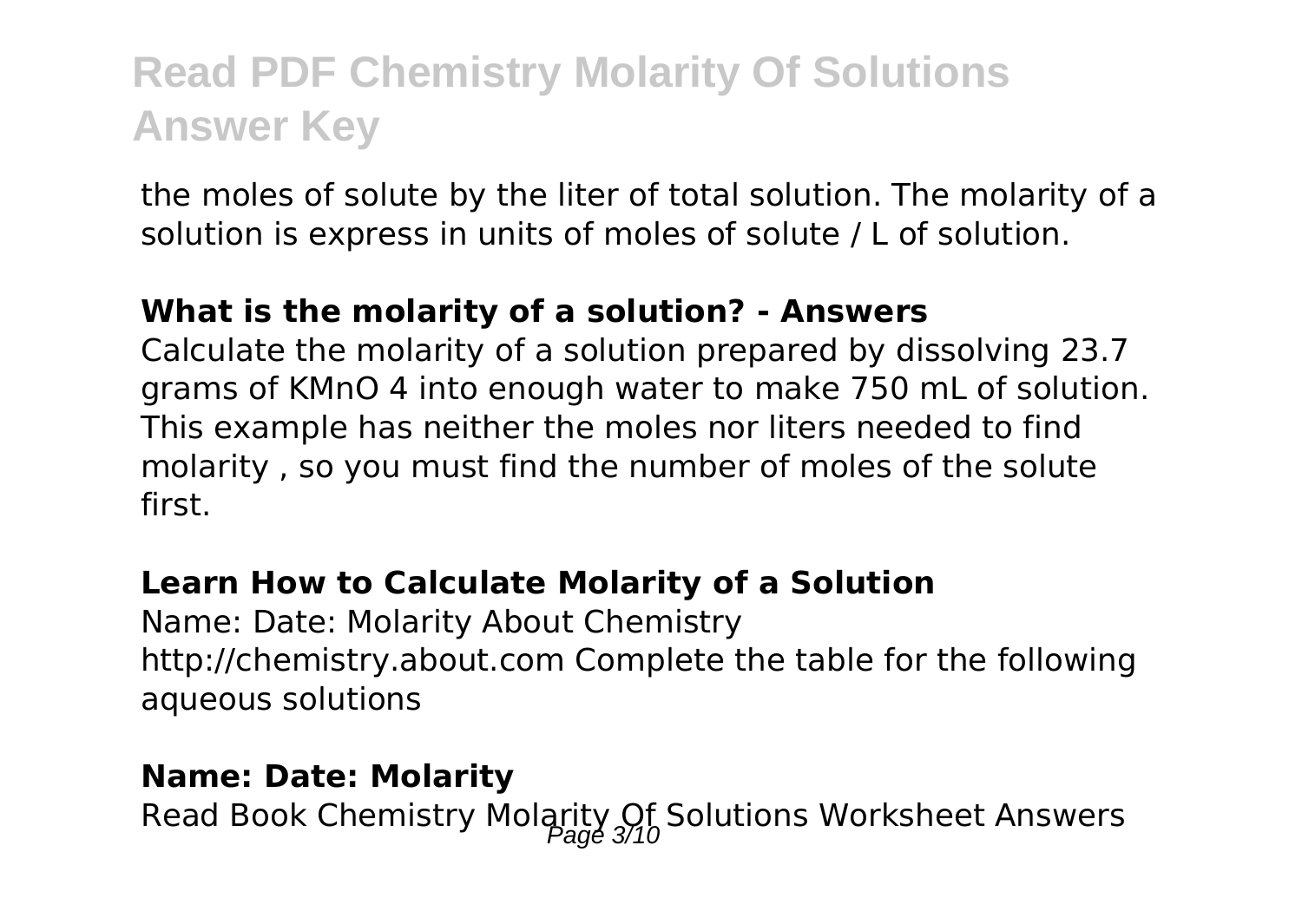the moles of solute by the liter of total solution. The molarity of a solution is express in units of moles of solute / L of solution.

#### **What is the molarity of a solution? - Answers**

Calculate the molarity of a solution prepared by dissolving 23.7 grams of KMnO 4 into enough water to make 750 mL of solution. This example has neither the moles nor liters needed to find molarity , so you must find the number of moles of the solute first.

### **Learn How to Calculate Molarity of a Solution**

Name: Date: Molarity About Chemistry http://chemistry.about.com Complete the table for the following aqueous solutions

#### **Name: Date: Molarity**

Read Book Chemistry Molarity Of Solutions Worksheet Answers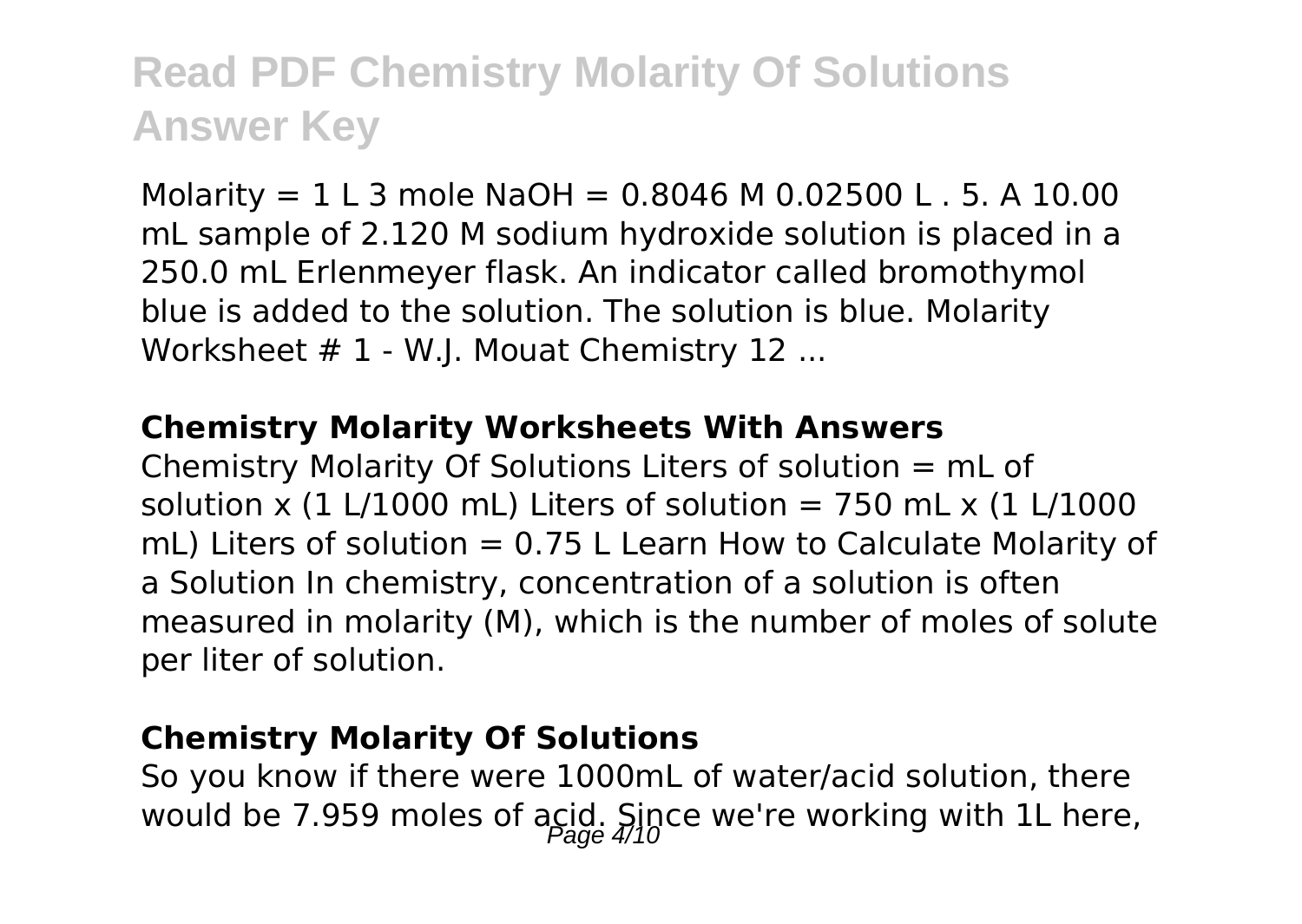Molarity =  $1 L 3$  mole NaOH = 0.8046 M 0.02500 L . 5. A 10.00 mL sample of 2.120 M sodium hydroxide solution is placed in a 250.0 mL Erlenmeyer flask. An indicator called bromothymol blue is added to the solution. The solution is blue. Molarity Worksheet # 1 - W.I. Mouat Chemistry 12 ...

#### **Chemistry Molarity Worksheets With Answers**

Chemistry Molarity Of Solutions Liters of solution = mL of solution x (1 L/1000 mL) Liters of solution = 750 mL x (1 L/1000 mL) Liters of solution  $= 0.75$  L Learn How to Calculate Molarity of a Solution In chemistry, concentration of a solution is often measured in molarity (M), which is the number of moles of solute per liter of solution.

### **Chemistry Molarity Of Solutions**

So you know if there were 1000mL of water/acid solution, there would be 7.959 moles of acid. Since we're working with 1L here,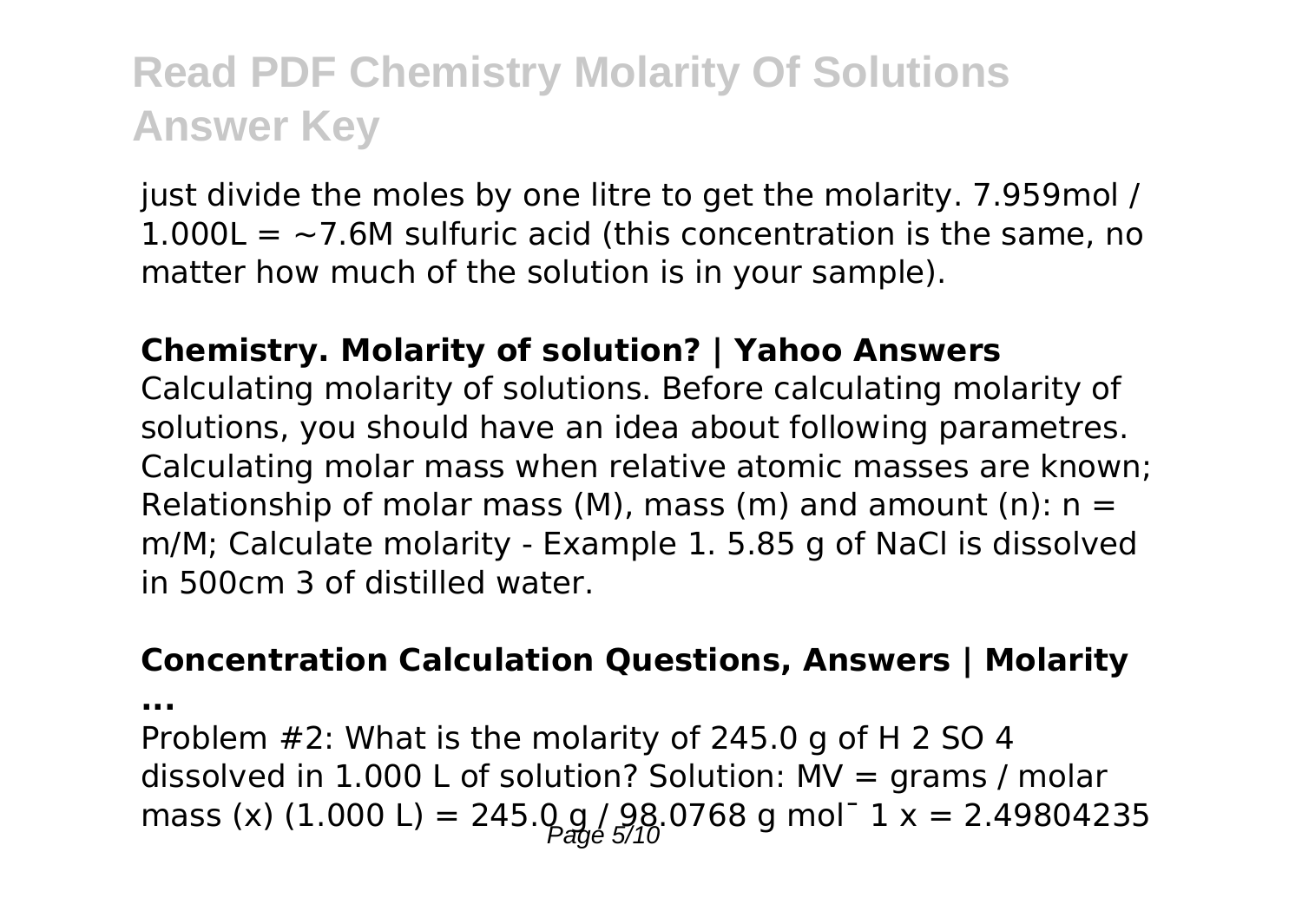just divide the moles by one litre to get the molarity. 7.959mol /  $1.000L = -7.6M$  sulfuric acid (this concentration is the same, no matter how much of the solution is in your sample).

#### **Chemistry. Molarity of solution? | Yahoo Answers**

Calculating molarity of solutions. Before calculating molarity of solutions, you should have an idea about following parametres. Calculating molar mass when relative atomic masses are known; Relationship of molar mass (M), mass (m) and amount (n):  $n =$ m/M; Calculate molarity - Example 1. 5.85 g of NaCl is dissolved in 500cm 3 of distilled water.

#### **Concentration Calculation Questions, Answers | Molarity**

**...**

Problem #2: What is the molarity of 245.0 g of H 2 SO 4 dissolved in  $1.000$  L of solution? Solution: MV = grams / molar mass (x) (1.000 L) = 245.0 g / 98.0768 g mol<sup>-</sup> 1 x = 2.49804235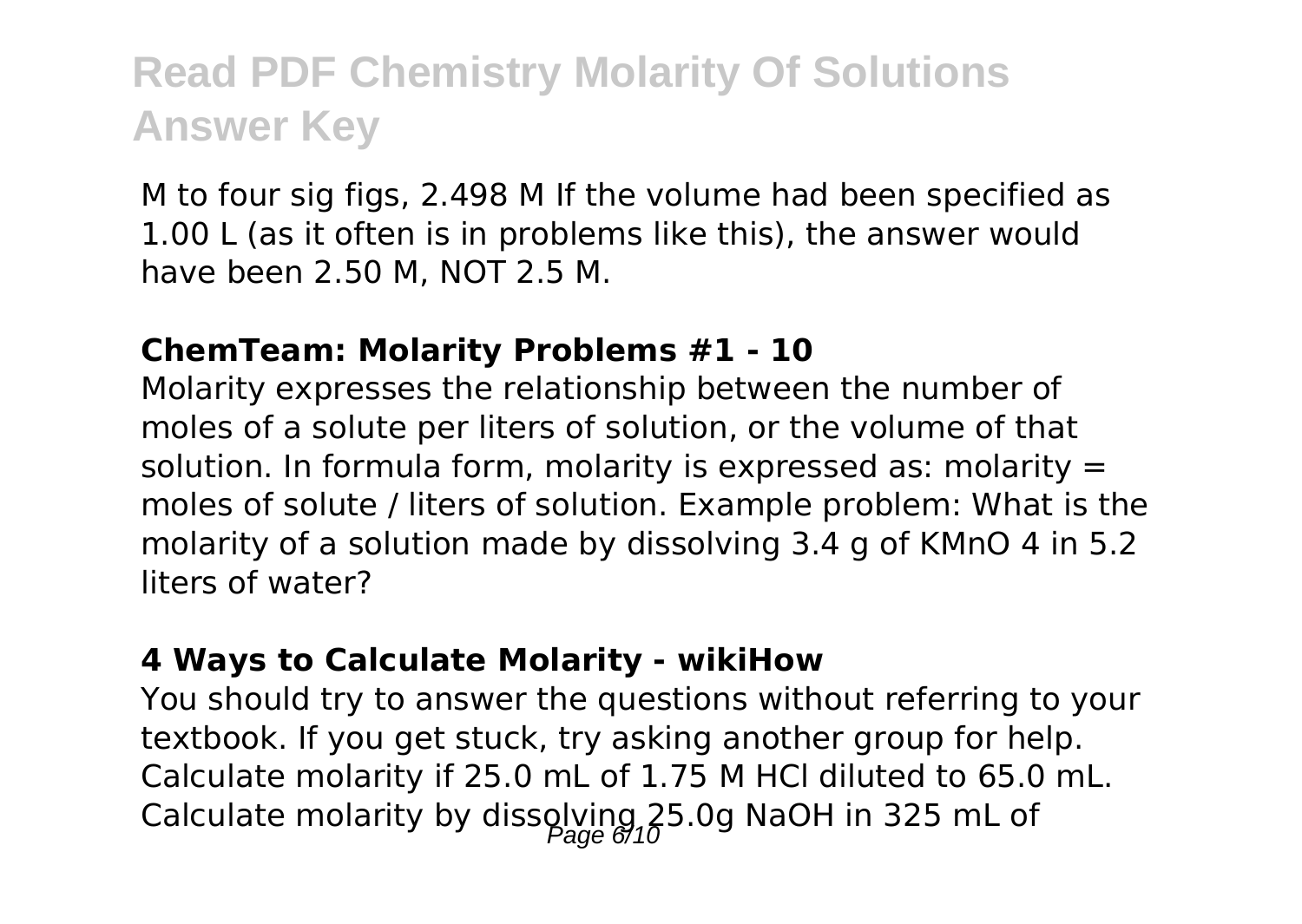M to four sig figs, 2.498 M If the volume had been specified as 1.00 L (as it often is in problems like this), the answer would have been 2.50 M, NOT 2.5 M.

#### **ChemTeam: Molarity Problems #1 - 10**

Molarity expresses the relationship between the number of moles of a solute per liters of solution, or the volume of that solution. In formula form, molarity is expressed as: molarity  $=$ moles of solute / liters of solution. Example problem: What is the molarity of a solution made by dissolving 3.4 g of KMnO 4 in 5.2 liters of water?

#### **4 Ways to Calculate Molarity - wikiHow**

You should try to answer the questions without referring to your textbook. If you get stuck, try asking another group for help. Calculate molarity if 25.0 mL of 1.75 M HCl diluted to 65.0 mL. Calculate molarity by dissolving  $25.0g$  NaOH in 325 mL of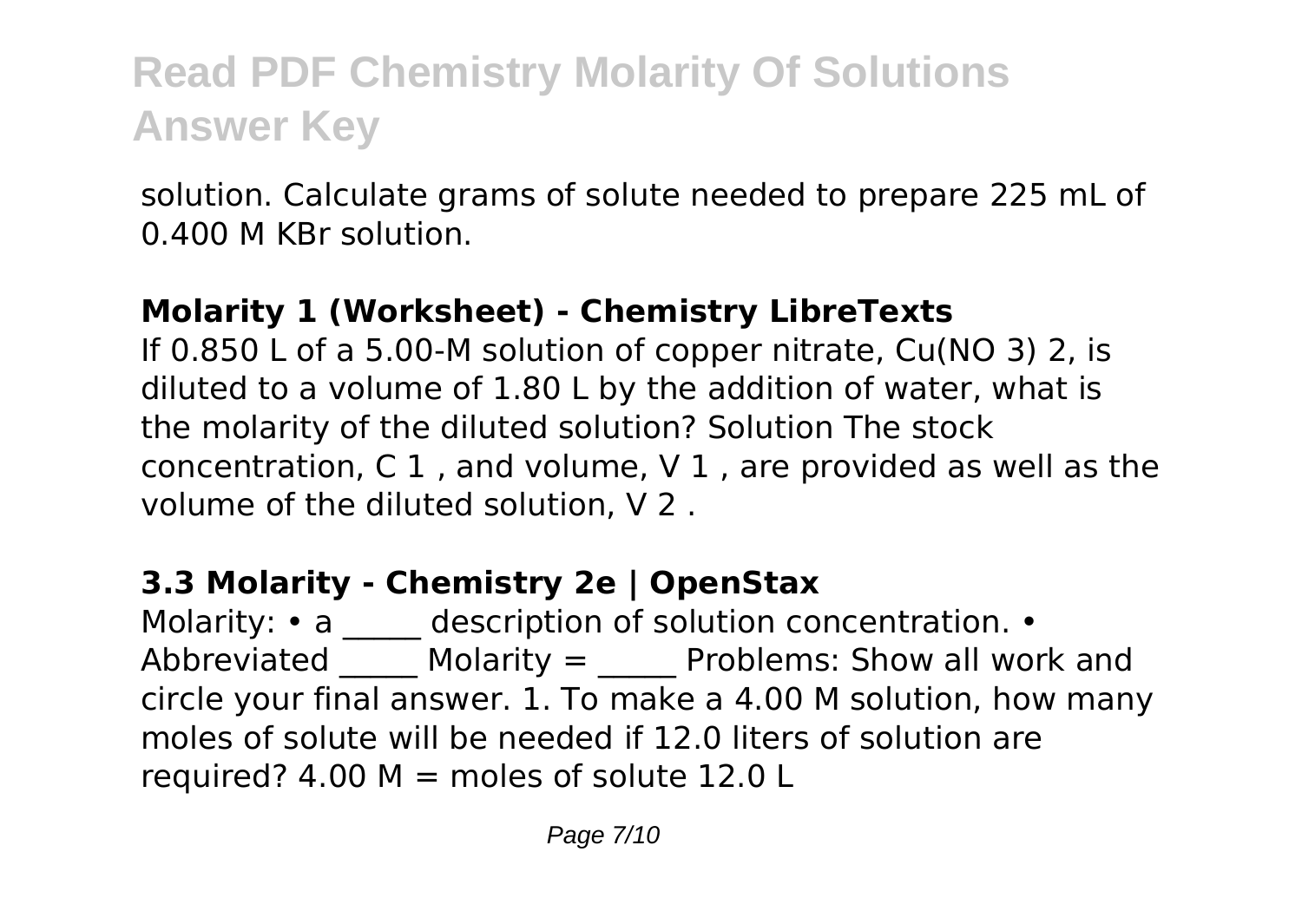solution. Calculate grams of solute needed to prepare 225 mL of 0.400 M KBr solution.

### **Molarity 1 (Worksheet) - Chemistry LibreTexts**

If 0.850 L of a 5.00-M solution of copper nitrate, Cu(NO 3) 2, is diluted to a volume of 1.80 L by the addition of water, what is the molarity of the diluted solution? Solution The stock concentration, C 1 , and volume, V 1 , are provided as well as the volume of the diluted solution, V 2 .

## **3.3 Molarity - Chemistry 2e | OpenStax**

Molarity: • a \_\_\_\_\_ description of solution concentration. • Abbreviated  $\blacksquare$  Molarity =  $\blacksquare$  Problems: Show all work and circle your final answer. 1. To make a 4.00 M solution, how many moles of solute will be needed if 12.0 liters of solution are required?  $4.00 M =$  moles of solute 12.0 L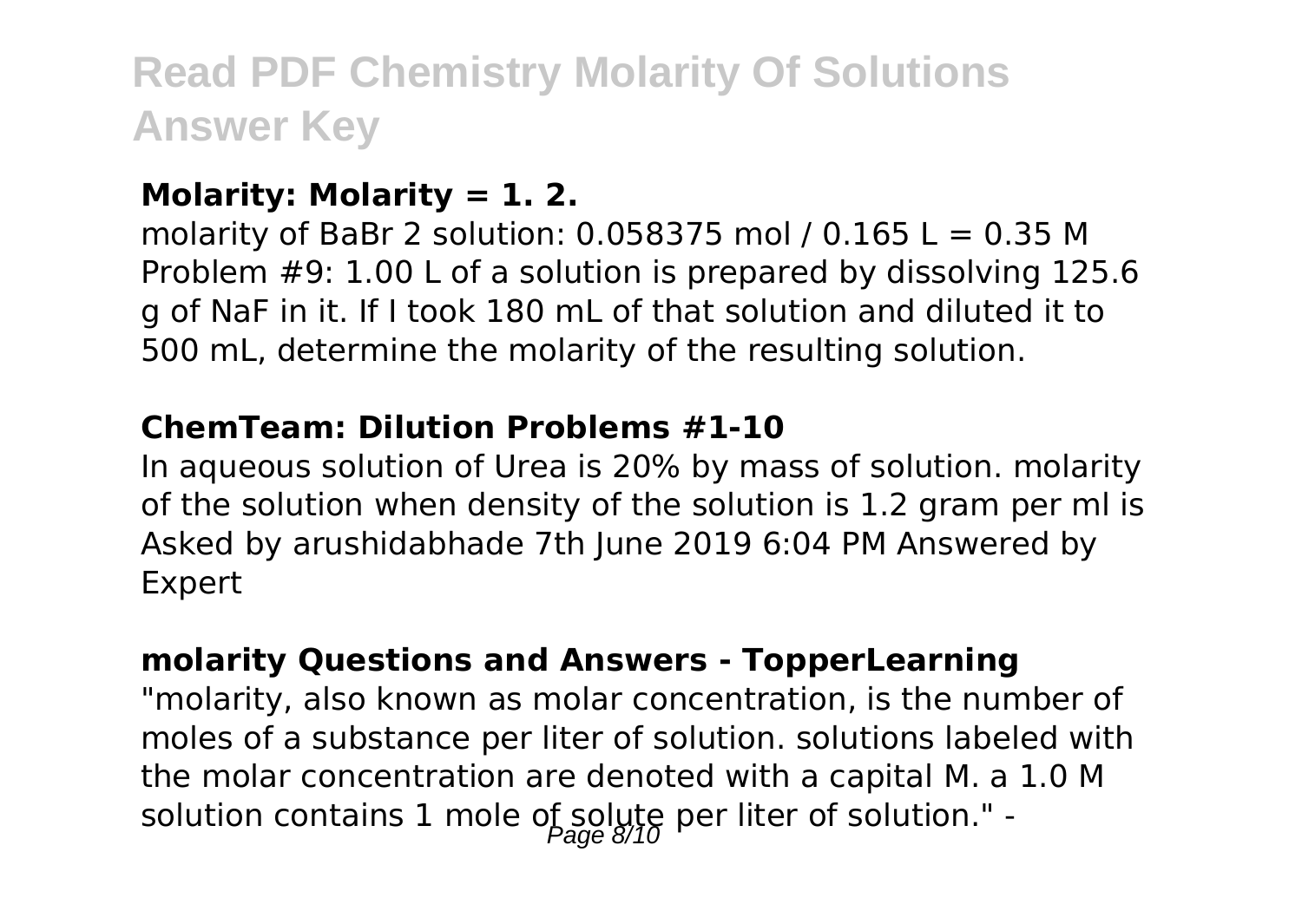### **Molarity: Molarity = 1. 2.**

molarity of BaBr 2 solution:  $0.058375$  mol /  $0.165$  L =  $0.35$  M Problem #9: 1.00 L of a solution is prepared by dissolving 125.6 g of NaF in it. If I took 180 mL of that solution and diluted it to 500 mL, determine the molarity of the resulting solution.

#### **ChemTeam: Dilution Problems #1-10**

In aqueous solution of Urea is 20% by mass of solution. molarity of the solution when density of the solution is 1.2 gram per ml is Asked by arushidabhade 7th June 2019 6:04 PM Answered by Expert

### **molarity Questions and Answers - TopperLearning**

"molarity, also known as molar concentration, is the number of moles of a substance per liter of solution. solutions labeled with the molar concentration are denoted with a capital M. a 1.0 M solution contains 1 mole of solute per liter of solution." -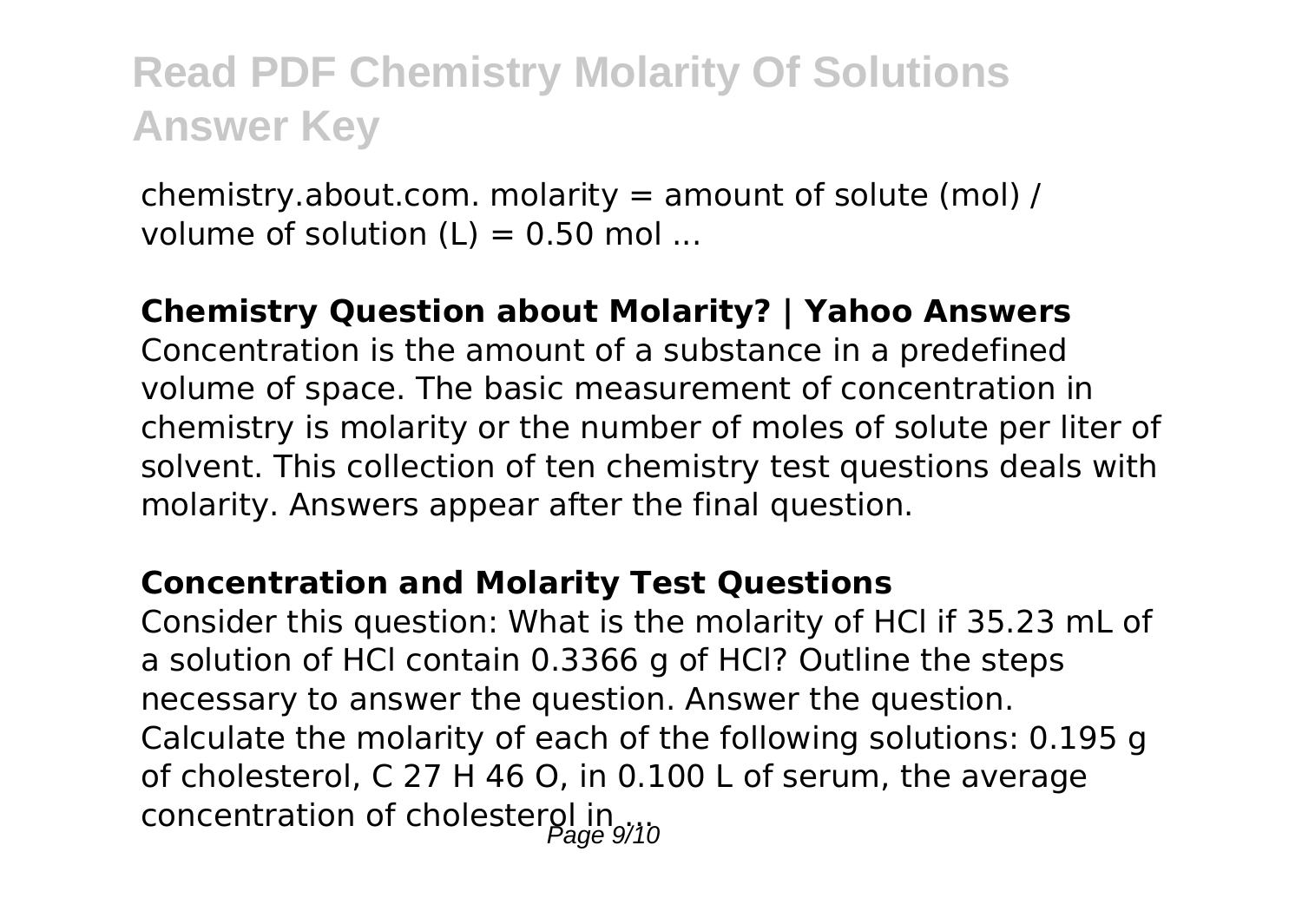chemistry.about.com. molarity = amount of solute (mol) / volume of solution  $(L) = 0.50$  mol ...

### **Chemistry Question about Molarity? | Yahoo Answers**

Concentration is the amount of a substance in a predefined volume of space. The basic measurement of concentration in chemistry is molarity or the number of moles of solute per liter of solvent. This collection of ten chemistry test questions deals with molarity. Answers appear after the final question.

#### **Concentration and Molarity Test Questions**

Consider this question: What is the molarity of HCl if 35.23 mL of a solution of HCl contain 0.3366 g of HCl? Outline the steps necessary to answer the question. Answer the question. Calculate the molarity of each of the following solutions: 0.195 g of cholesterol, C 27 H 46 O, in 0.100 L of serum, the average concentration of cholesterol in